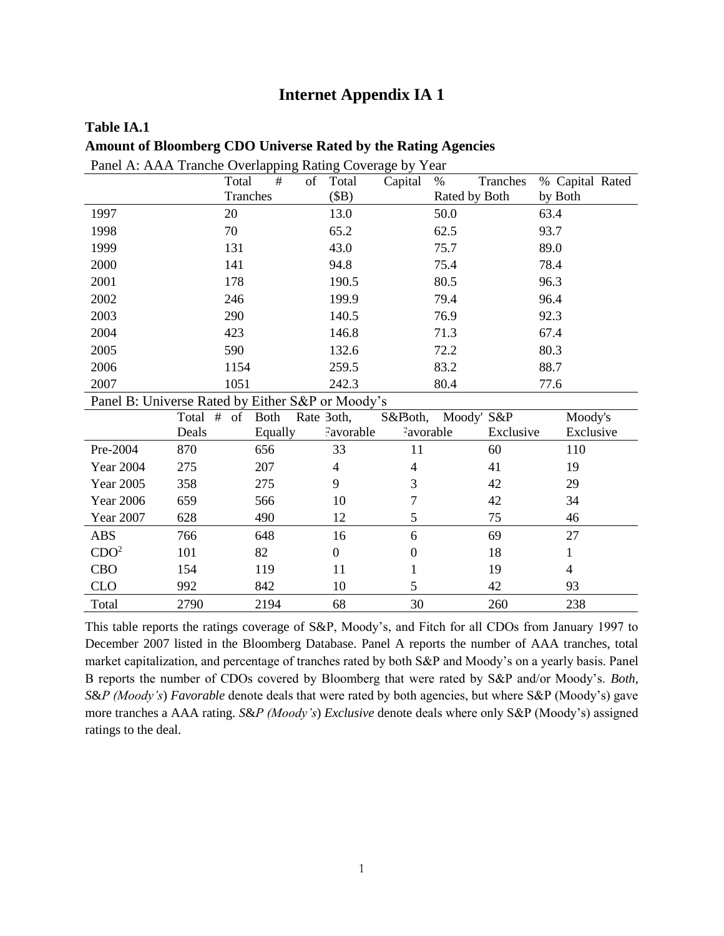## **Internet Appendix IA 1**

| Panel A: AAA Tranche Overlapping Rating Coverage by Year |               |             |                  |                          |                  |                 |
|----------------------------------------------------------|---------------|-------------|------------------|--------------------------|------------------|-----------------|
|                                                          | Total         | #           | of<br>Total      | Capital                  | Tranches<br>$\%$ | % Capital Rated |
|                                                          |               | Tranches    | (SB)             |                          | Rated by Both    | by Both         |
| 1997                                                     | 20            |             | 13.0             |                          | 50.0             | 63.4            |
| 1998                                                     | 70            |             | 65.2             |                          | 62.5             | 93.7            |
| 1999                                                     | 131           |             | 43.0             |                          | 75.7             | 89.0            |
| 2000                                                     | 141           |             | 94.8             |                          | 75.4             | 78.4            |
| 2001                                                     | 178           |             | 190.5            |                          | 80.5             | 96.3            |
| 2002                                                     | 246           |             | 199.9            |                          | 79.4             | 96.4            |
| 2003                                                     | 290           |             | 140.5            |                          | 76.9             | 92.3            |
| 2004                                                     | 423           |             | 146.8            |                          | 71.3             | 67.4            |
| 2005                                                     | 590           |             | 132.6            |                          | 72.2             | 80.3            |
| 2006                                                     | 1154          |             | 259.5            |                          | 83.2             | 88.7            |
| 2007                                                     | 1051          |             | 242.3            |                          | 80.4             | 77.6            |
| Panel B: Universe Rated by Either S&P or Moody's         |               |             |                  |                          |                  |                 |
|                                                          | Total #<br>of | <b>Both</b> | Rate 3oth,       | S&Both,                  | Moody' S&P       | Moody's         |
|                                                          | Deals         | Equally     | Favorable        | Favorable                | Exclusive        | Exclusive       |
| Pre-2004                                                 | 870           | 656         | 33               | 11                       | 60               | 110             |
| <b>Year 2004</b>                                         | 275           | 207         | $\overline{4}$   | $\overline{\mathcal{A}}$ | 41               | 19              |
| <b>Year 2005</b>                                         | 358           | 275         | 9                | 3                        | 42               | 29              |
| <b>Year 2006</b>                                         | 659           | 566         | 10               | 7                        | 42               | 34              |
| <b>Year 2007</b>                                         | 628           | 490         | 12               | 5                        | 75               | 46              |
| <b>ABS</b>                                               | 766           | 648         | 16               | 6                        | 69               | 27              |
| CDO <sup>2</sup>                                         | 101           | 82          | $\boldsymbol{0}$ | $\boldsymbol{0}$         | 18               | $\mathbf{1}$    |
| <b>CBO</b>                                               | 154           | 119         | 11               | $\mathbf{1}$             | 19               | $\overline{4}$  |
| <b>CLO</b>                                               | 992           | 842         | 10               | 5                        | 42               | 93              |
| Total                                                    | 2790          | 2194        | 68               | 30                       | 260              | 238             |

# **Table IA.1 Amount of Bloomberg CDO Universe Rated by the Rating Agencies**

This table reports the ratings coverage of S&P, Moody's, and Fitch for all CDOs from January 1997 to December 2007 listed in the Bloomberg Database. Panel A reports the number of AAA tranches, total market capitalization, and percentage of tranches rated by both S&P and Moody's on a yearly basis. Panel B reports the number of CDOs covered by Bloomberg that were rated by S&P and/or Moody's. *Both, S*&*P (Moody's*) *Favorable* denote deals that were rated by both agencies, but where S&P (Moody's) gave more tranches a AAA rating. *S*&*P (Moody's*) *Exclusive* denote deals where only S&P (Moody's) assigned ratings to the deal.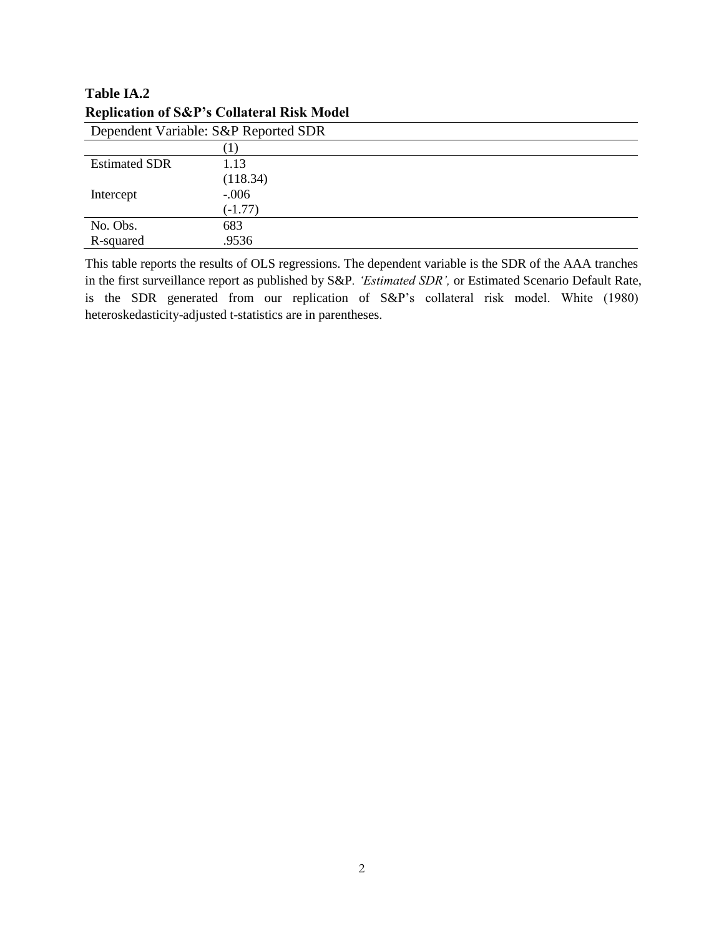| Dependent Variable: S&P Reported SDR |           |  |  |
|--------------------------------------|-----------|--|--|
|                                      |           |  |  |
| <b>Estimated SDR</b>                 | 1.13      |  |  |
|                                      | (118.34)  |  |  |
| Intercept                            | $-0.006$  |  |  |
|                                      | $(-1.77)$ |  |  |
| No. Obs.                             | 683       |  |  |
| R-squared                            | .9536     |  |  |

# **Table IA.2 Replication of S&P's Collateral Risk Model**

This table reports the results of OLS regressions. The dependent variable is the SDR of the AAA tranches in the first surveillance report as published by S&P*. 'Estimated SDR',* or Estimated Scenario Default Rate, is the SDR generated from our replication of S&P's collateral risk model. White (1980) heteroskedasticity-adjusted t-statistics are in parentheses.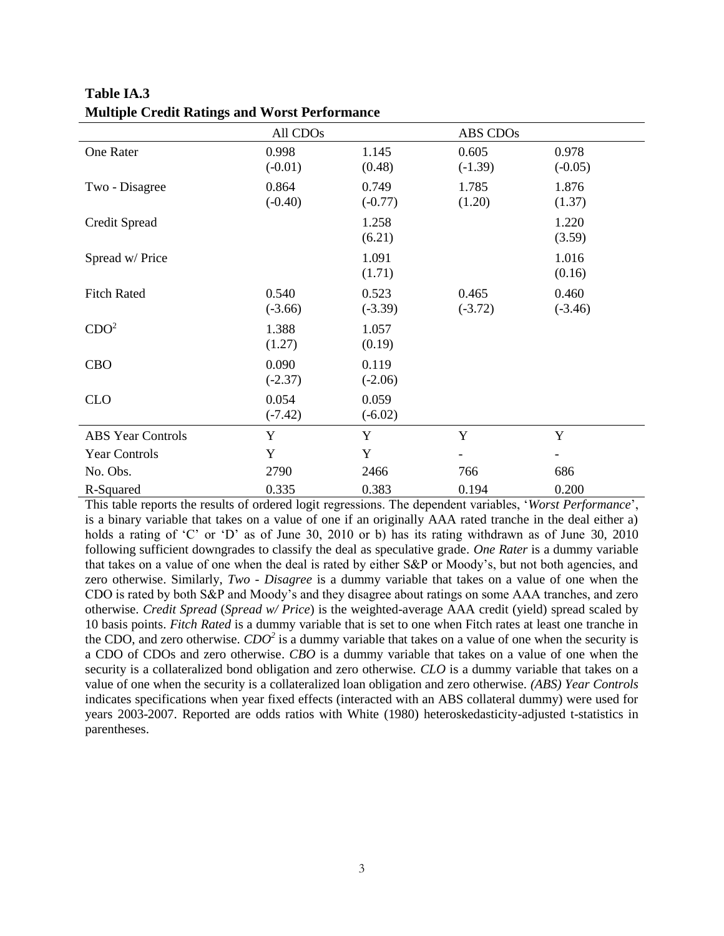|                          | All CDO <sub>s</sub> |                    | ABS CDOs                 |                    |
|--------------------------|----------------------|--------------------|--------------------------|--------------------|
| One Rater                | 0.998<br>$(-0.01)$   | 1.145<br>(0.48)    | 0.605<br>$(-1.39)$       | 0.978<br>$(-0.05)$ |
| Two - Disagree           | 0.864<br>$(-0.40)$   | 0.749<br>$(-0.77)$ | 1.785<br>(1.20)          | 1.876<br>(1.37)    |
| Credit Spread            |                      | 1.258<br>(6.21)    |                          | 1.220<br>(3.59)    |
| Spread w/ Price          |                      | 1.091<br>(1.71)    |                          | 1.016<br>(0.16)    |
| <b>Fitch Rated</b>       | 0.540<br>$(-3.66)$   | 0.523<br>$(-3.39)$ | 0.465<br>$(-3.72)$       | 0.460<br>$(-3.46)$ |
| CDO <sup>2</sup>         | 1.388<br>(1.27)      | 1.057<br>(0.19)    |                          |                    |
| <b>CBO</b>               | 0.090<br>$(-2.37)$   | 0.119<br>$(-2.06)$ |                          |                    |
| <b>CLO</b>               | 0.054<br>$(-7.42)$   | 0.059<br>$(-6.02)$ |                          |                    |
| <b>ABS</b> Year Controls | Y                    | Y                  | Y                        | Y                  |
| <b>Year Controls</b>     | Y                    | Y                  | $\overline{\phantom{a}}$ |                    |
| No. Obs.                 | 2790                 | 2466               | 766                      | 686                |
| R-Squared                | 0.335                | 0.383              | 0.194                    | 0.200              |

**Table IA.3 Multiple Credit Ratings and Worst Performance**

This table reports the results of ordered logit regressions. The dependent variables, '*Worst Performance*', is a binary variable that takes on a value of one if an originally AAA rated tranche in the deal either a) holds a rating of 'C' or 'D' as of June 30, 2010 or b) has its rating withdrawn as of June 30, 2010 following sufficient downgrades to classify the deal as speculative grade. *One Rater* is a dummy variable that takes on a value of one when the deal is rated by either S&P or Moody's, but not both agencies, and zero otherwise. Similarly, *Two - Disagree* is a dummy variable that takes on a value of one when the CDO is rated by both S&P and Moody's and they disagree about ratings on some AAA tranches, and zero otherwise. *Credit Spread* (*Spread w/ Price*) is the weighted-average AAA credit (yield) spread scaled by 10 basis points. *Fitch Rated* is a dummy variable that is set to one when Fitch rates at least one tranche in the CDO, and zero otherwise. *CDO<sup>2</sup>* is a dummy variable that takes on a value of one when the security is a CDO of CDOs and zero otherwise. *CBO* is a dummy variable that takes on a value of one when the security is a collateralized bond obligation and zero otherwise*. CLO* is a dummy variable that takes on a value of one when the security is a collateralized loan obligation and zero otherwise*. (ABS) Year Controls*  indicates specifications when year fixed effects (interacted with an ABS collateral dummy) were used for years 2003-2007. Reported are odds ratios with White (1980) heteroskedasticity-adjusted t-statistics in parentheses.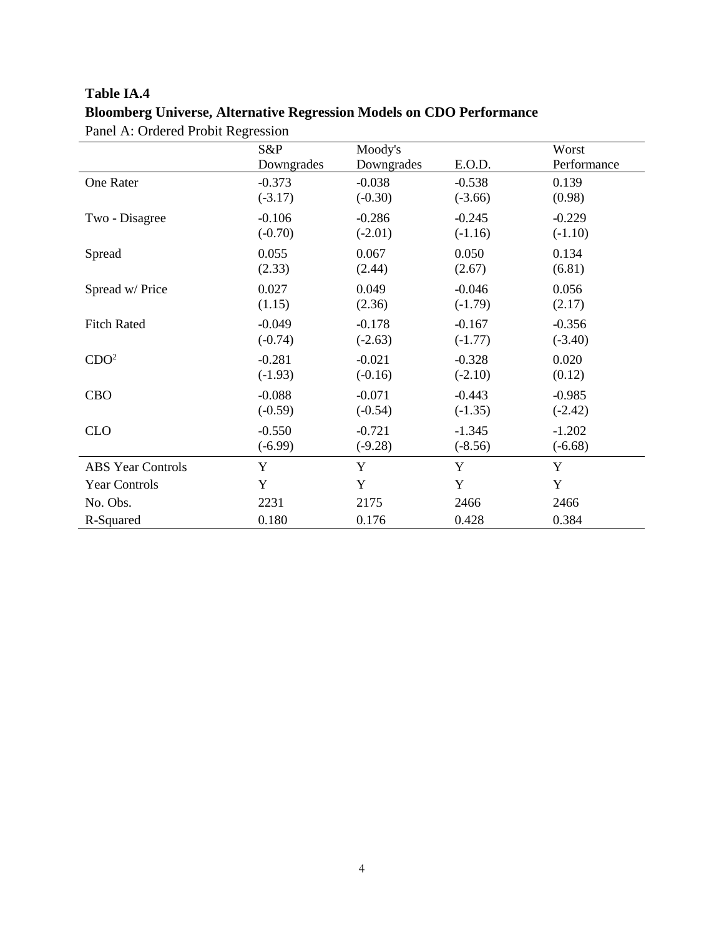# **Table IA.4 Bloomberg Universe, Alternative Regression Models on CDO Performance** Panel A: Ordered Probit Regression

|                          | S&P        | Moody's    |           | Worst       |
|--------------------------|------------|------------|-----------|-------------|
|                          | Downgrades | Downgrades | E.O.D.    | Performance |
| One Rater                | $-0.373$   | $-0.038$   | $-0.538$  | 0.139       |
|                          | $(-3.17)$  | $(-0.30)$  | $(-3.66)$ | (0.98)      |
| Two - Disagree           | $-0.106$   | $-0.286$   | $-0.245$  | $-0.229$    |
|                          | $(-0.70)$  | $(-2.01)$  | $(-1.16)$ | $(-1.10)$   |
| Spread                   | 0.055      | 0.067      | 0.050     | 0.134       |
|                          | (2.33)     | (2.44)     | (2.67)    | (6.81)      |
| Spread w/ Price          | 0.027      | 0.049      | $-0.046$  | 0.056       |
|                          | (1.15)     | (2.36)     | $(-1.79)$ | (2.17)      |
| <b>Fitch Rated</b>       | $-0.049$   | $-0.178$   | $-0.167$  | $-0.356$    |
|                          | $(-0.74)$  | $(-2.63)$  | $(-1.77)$ | $(-3.40)$   |
| CDO <sup>2</sup>         | $-0.281$   | $-0.021$   | $-0.328$  | 0.020       |
|                          | $(-1.93)$  | $(-0.16)$  | $(-2.10)$ | (0.12)      |
| <b>CBO</b>               | $-0.088$   | $-0.071$   | $-0.443$  | $-0.985$    |
|                          | $(-0.59)$  | $(-0.54)$  | $(-1.35)$ | $(-2.42)$   |
| <b>CLO</b>               | $-0.550$   | $-0.721$   | $-1.345$  | $-1.202$    |
|                          | $(-6.99)$  | $(-9.28)$  | $(-8.56)$ | $(-6.68)$   |
| <b>ABS</b> Year Controls | Y          | Y          | Y         | Y           |
| <b>Year Controls</b>     | Y          | Y          | Y         | Y           |
| No. Obs.                 | 2231       | 2175       | 2466      | 2466        |
| R-Squared                | 0.180      | 0.176      | 0.428     | 0.384       |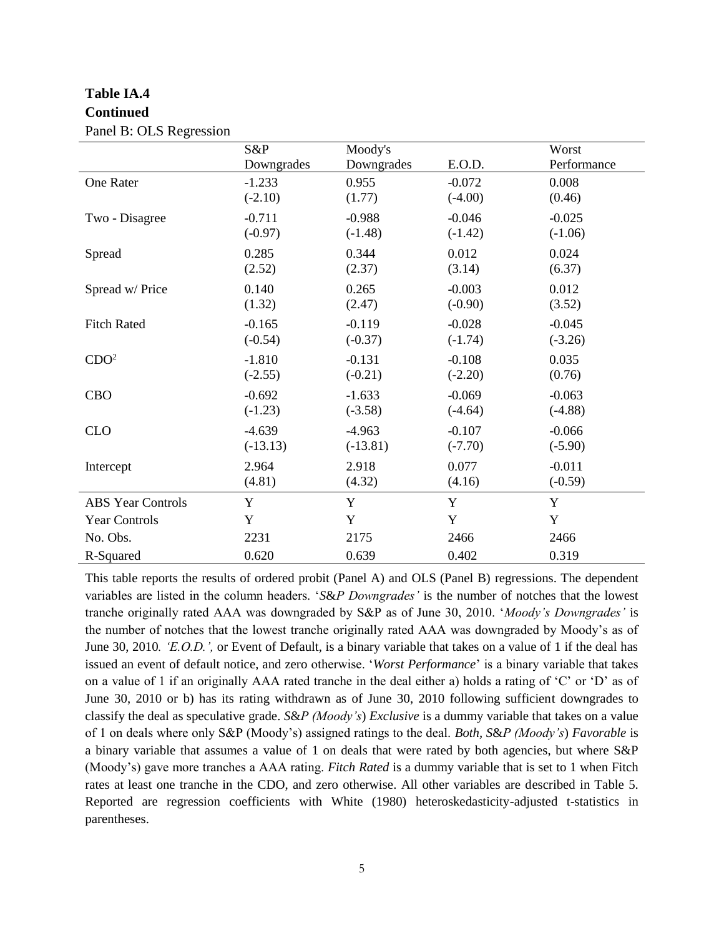# **Table IA.4 Continued**

|                          | S&P        | Moody's     |           | Worst       |
|--------------------------|------------|-------------|-----------|-------------|
|                          | Downgrades | Downgrades  | E.O.D.    | Performance |
| <b>One Rater</b>         | $-1.233$   | 0.955       | $-0.072$  | 0.008       |
|                          | $(-2.10)$  | (1.77)      | $(-4.00)$ | (0.46)      |
| Two - Disagree           | $-0.711$   | $-0.988$    | $-0.046$  | $-0.025$    |
|                          | $(-0.97)$  | $(-1.48)$   | $(-1.42)$ | $(-1.06)$   |
| Spread                   | 0.285      | 0.344       | 0.012     | 0.024       |
|                          | (2.52)     | (2.37)      | (3.14)    | (6.37)      |
| Spread w/ Price          | 0.140      | 0.265       | $-0.003$  | 0.012       |
|                          | (1.32)     | (2.47)      | $(-0.90)$ | (3.52)      |
| <b>Fitch Rated</b>       | $-0.165$   | $-0.119$    | $-0.028$  | $-0.045$    |
|                          | $(-0.54)$  | $(-0.37)$   | $(-1.74)$ | $(-3.26)$   |
| CDO <sup>2</sup>         | $-1.810$   | $-0.131$    | $-0.108$  | 0.035       |
|                          | $(-2.55)$  | $(-0.21)$   | $(-2.20)$ | (0.76)      |
| <b>CBO</b>               | $-0.692$   | $-1.633$    | $-0.069$  | $-0.063$    |
|                          | $(-1.23)$  | $(-3.58)$   | $(-4.64)$ | $(-4.88)$   |
| <b>CLO</b>               | $-4.639$   | $-4.963$    | $-0.107$  | $-0.066$    |
|                          | $(-13.13)$ | $(-13.81)$  | $(-7.70)$ | $(-5.90)$   |
| Intercept                | 2.964      | 2.918       | 0.077     | $-0.011$    |
|                          | (4.81)     | (4.32)      | (4.16)    | $(-0.59)$   |
| <b>ABS Year Controls</b> | Y          | Y           | Y         | Y           |
| <b>Year Controls</b>     | Y          | $\mathbf Y$ | Y         | Y           |
| No. Obs.                 | 2231       | 2175        | 2466      | 2466        |
| R-Squared                | 0.620      | 0.639       | 0.402     | 0.319       |

Panel B: OLS Regression

This table reports the results of ordered probit (Panel A) and OLS (Panel B) regressions. The dependent variables are listed in the column headers. '*S*&*P Downgrades'* is the number of notches that the lowest tranche originally rated AAA was downgraded by S&P as of June 30, 2010. '*Moody's Downgrades'* is the number of notches that the lowest tranche originally rated AAA was downgraded by Moody's as of June 30, 2010*. 'E.O.D.',* or Event of Default, is a binary variable that takes on a value of 1 if the deal has issued an event of default notice, and zero otherwise. '*Worst Performance*' is a binary variable that takes on a value of 1 if an originally AAA rated tranche in the deal either a) holds a rating of 'C' or 'D' as of June 30, 2010 or b) has its rating withdrawn as of June 30, 2010 following sufficient downgrades to classify the deal as speculative grade. *S*&*P (Moody's*) *Exclusive* is a dummy variable that takes on a value of 1 on deals where only S&P (Moody's) assigned ratings to the deal. *Both, S*&*P (Moody's*) *Favorable* is a binary variable that assumes a value of 1 on deals that were rated by both agencies, but where S&P (Moody's) gave more tranches a AAA rating. *Fitch Rated* is a dummy variable that is set to 1 when Fitch rates at least one tranche in the CDO, and zero otherwise. All other variables are described in Table 5. Reported are regression coefficients with White (1980) heteroskedasticity-adjusted t-statistics in parentheses.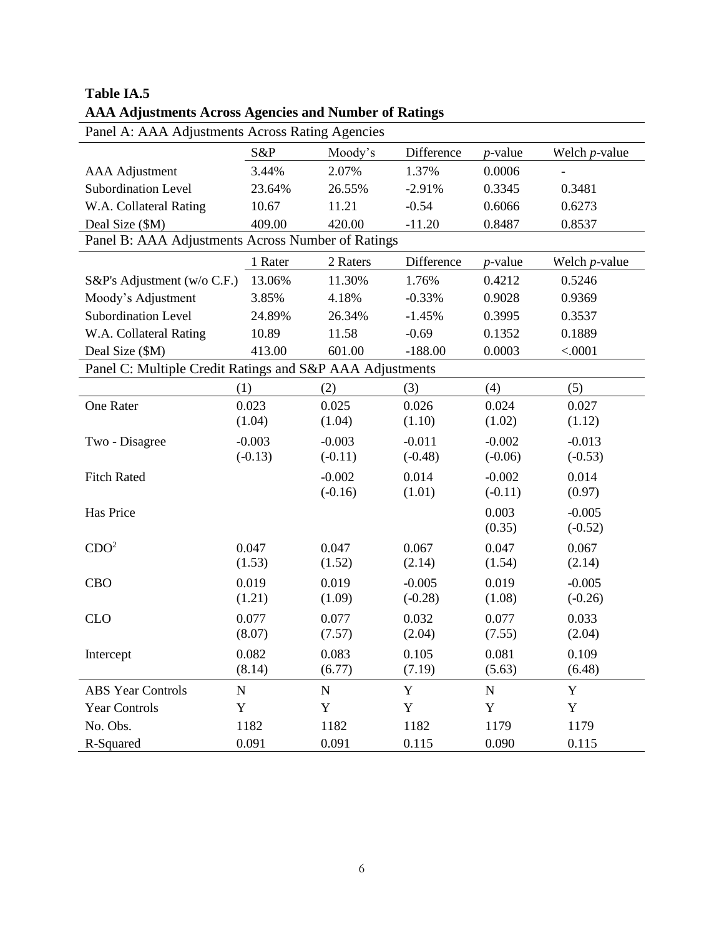| Panel A: AAA Adjustments Across Rating Agencies          |           |             |            |             |                          |
|----------------------------------------------------------|-----------|-------------|------------|-------------|--------------------------|
|                                                          | S&P       | Moody's     | Difference | $p$ -value  | Welch $p$ -value         |
| <b>AAA</b> Adjustment                                    | 3.44%     | 2.07%       | 1.37%      | 0.0006      | $\overline{\phantom{a}}$ |
| <b>Subordination Level</b>                               | 23.64%    | 26.55%      | $-2.91%$   | 0.3345      | 0.3481                   |
| W.A. Collateral Rating                                   | 10.67     | 11.21       | $-0.54$    | 0.6066      | 0.6273                   |
| Deal Size (\$M)                                          | 409.00    | 420.00      | $-11.20$   | 0.8487      | 0.8537                   |
| Panel B: AAA Adjustments Across Number of Ratings        |           |             |            |             |                          |
|                                                          | 1 Rater   | 2 Raters    | Difference | $p$ -value  | Welch $p$ -value         |
| S&P's Adjustment (w/o C.F.)                              | 13.06%    | 11.30%      | 1.76%      | 0.4212      | 0.5246                   |
| Moody's Adjustment                                       | 3.85%     | 4.18%       | $-0.33%$   | 0.9028      | 0.9369                   |
| <b>Subordination Level</b>                               | 24.89%    | 26.34%      | $-1.45%$   | 0.3995      | 0.3537                   |
| W.A. Collateral Rating                                   | 10.89     | 11.58       | $-0.69$    | 0.1352      | 0.1889                   |
| Deal Size (\$M)                                          | 413.00    | 601.00      | $-188.00$  | 0.0003      | < .0001                  |
| Panel C: Multiple Credit Ratings and S&P AAA Adjustments |           |             |            |             |                          |
|                                                          | (1)       | (2)         | (3)        | (4)         | (5)                      |
| One Rater                                                | 0.023     | 0.025       | 0.026      | 0.024       | 0.027                    |
|                                                          | (1.04)    | (1.04)      | (1.10)     | (1.02)      | (1.12)                   |
| Two - Disagree                                           | $-0.003$  | $-0.003$    | $-0.011$   | $-0.002$    | $-0.013$                 |
|                                                          | $(-0.13)$ | $(-0.11)$   | $(-0.48)$  | $(-0.06)$   | $(-0.53)$                |
| <b>Fitch Rated</b>                                       |           | $-0.002$    | 0.014      | $-0.002$    | 0.014                    |
|                                                          |           | $(-0.16)$   | (1.01)     | $(-0.11)$   | (0.97)                   |
| Has Price                                                |           |             |            | 0.003       | $-0.005$                 |
|                                                          |           |             |            | (0.35)      | $(-0.52)$                |
| CDO <sup>2</sup>                                         | 0.047     | 0.047       | 0.067      | 0.047       | 0.067                    |
|                                                          | (1.53)    | (1.52)      | (2.14)     | (1.54)      | (2.14)                   |
| <b>CBO</b>                                               | 0.019     | 0.019       | $-0.005$   | 0.019       | $-0.005$                 |
|                                                          | (1.21)    | (1.09)      | $(-0.28)$  | (1.08)      | $(-0.26)$                |
| <b>CLO</b>                                               | 0.077     | 0.077       | 0.032      | 0.077       | 0.033                    |
|                                                          | (8.07)    | (7.57)      | (2.04)     | (7.55)      | (2.04)                   |
| Intercept                                                | 0.082     | 0.083       | 0.105      | 0.081       | 0.109                    |
|                                                          | (8.14)    | (6.77)      | (7.19)     | (5.63)      | (6.48)                   |
| <b>ABS Year Controls</b>                                 | ${\bf N}$ | $\mathbf N$ | Y          | ${\bf N}$   | $\mathbf Y$              |
| <b>Year Controls</b>                                     | Y         | Y           | Y          | $\mathbf Y$ | Y                        |
| No. Obs.                                                 | 1182      | 1182        | 1182       | 1179        | 1179                     |
| R-Squared                                                | 0.091     | 0.091       | 0.115      | 0.090       | 0.115                    |

## **Table IA.5 AAA Adjustments Across Agencies and Number of Ratings**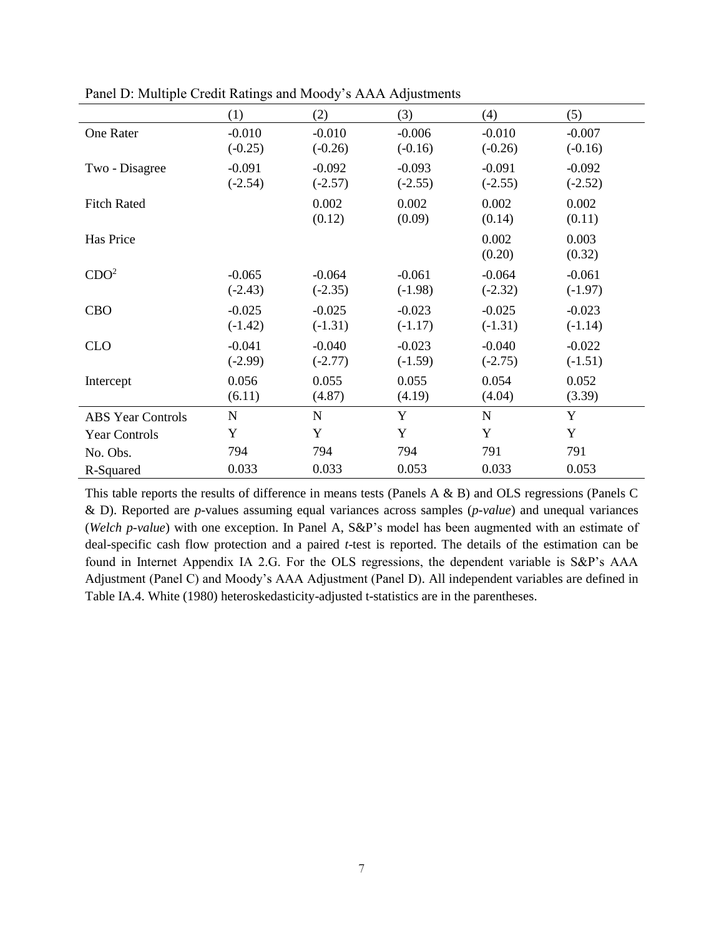|                          | (1)                   | (2)                   | (3)                   | (4)                   | (5)                   |
|--------------------------|-----------------------|-----------------------|-----------------------|-----------------------|-----------------------|
| <b>One Rater</b>         | $-0.010$<br>$(-0.25)$ | $-0.010$<br>$(-0.26)$ | $-0.006$<br>$(-0.16)$ | $-0.010$<br>$(-0.26)$ | $-0.007$<br>$(-0.16)$ |
| Two - Disagree           | $-0.091$<br>$(-2.54)$ | $-0.092$<br>$(-2.57)$ | $-0.093$<br>$(-2.55)$ | $-0.091$<br>$(-2.55)$ | $-0.092$<br>$(-2.52)$ |
| <b>Fitch Rated</b>       |                       | 0.002<br>(0.12)       | 0.002<br>(0.09)       | 0.002<br>(0.14)       | 0.002<br>(0.11)       |
| Has Price                |                       |                       |                       | 0.002<br>(0.20)       | 0.003<br>(0.32)       |
| CDO <sup>2</sup>         | $-0.065$<br>$(-2.43)$ | $-0.064$<br>$(-2.35)$ | $-0.061$<br>$(-1.98)$ | $-0.064$<br>$(-2.32)$ | $-0.061$<br>$(-1.97)$ |
| <b>CBO</b>               | $-0.025$<br>$(-1.42)$ | $-0.025$<br>$(-1.31)$ | $-0.023$<br>$(-1.17)$ | $-0.025$<br>$(-1.31)$ | $-0.023$<br>$(-1.14)$ |
| <b>CLO</b>               | $-0.041$<br>$(-2.99)$ | $-0.040$<br>$(-2.77)$ | $-0.023$<br>$(-1.59)$ | $-0.040$<br>$(-2.75)$ | $-0.022$<br>$(-1.51)$ |
| Intercept                | 0.056<br>(6.11)       | 0.055<br>(4.87)       | 0.055<br>(4.19)       | 0.054<br>(4.04)       | 0.052<br>(3.39)       |
| <b>ABS Year Controls</b> | $\mathbf N$           | $\mathbf N$           | Y                     | $\mathbf N$           | Y                     |
| <b>Year Controls</b>     | Y                     | Y                     | Y                     | Y                     | Y                     |
| No. Obs.                 | 794                   | 794                   | 794                   | 791                   | 791                   |
| R-Squared                | 0.033                 | 0.033                 | 0.053                 | 0.033                 | 0.053                 |

Panel D: Multiple Credit Ratings and Moody's AAA Adjustments

This table reports the results of difference in means tests (Panels A & B) and OLS regressions (Panels C & D). Reported are *p*-values assuming equal variances across samples (*p-value*) and unequal variances (*Welch p-value*) with one exception. In Panel A, S&P's model has been augmented with an estimate of deal-specific cash flow protection and a paired *t*-test is reported. The details of the estimation can be found in Internet Appendix IA 2.G. For the OLS regressions, the dependent variable is S&P's AAA Adjustment (Panel C) and Moody's AAA Adjustment (Panel D)*.* All independent variables are defined in Table IA.4. White (1980) heteroskedasticity-adjusted t-statistics are in the parentheses.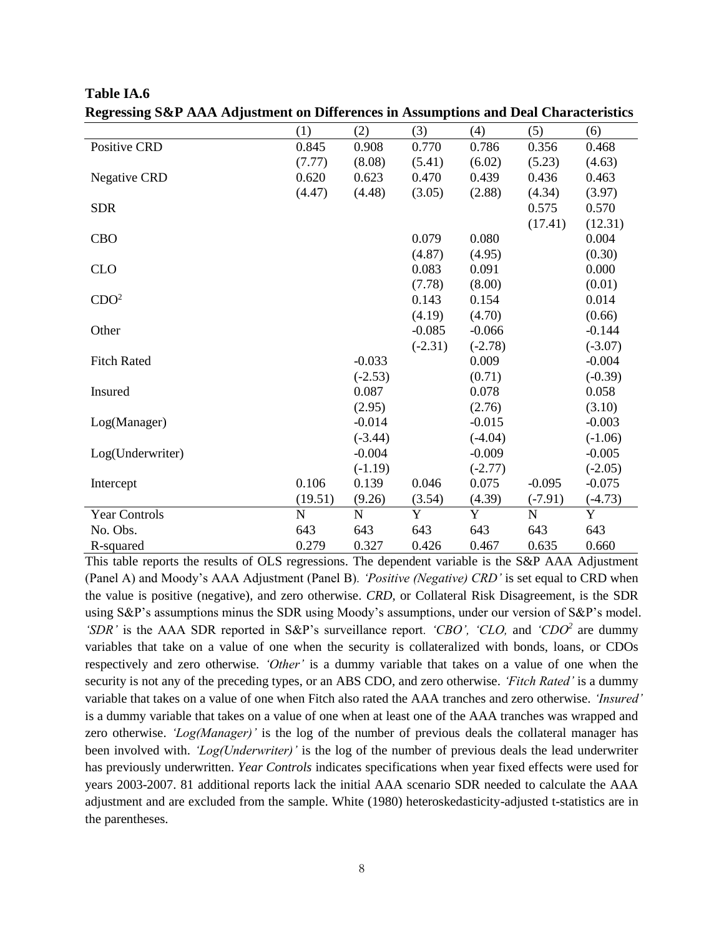| (1)         | (2)         | (3)                                                                             | (4)                 | (5)                                                              | (6)       |
|-------------|-------------|---------------------------------------------------------------------------------|---------------------|------------------------------------------------------------------|-----------|
| 0.845       | 0.908       | 0.770                                                                           | 0.786               | 0.356                                                            | 0.468     |
| (7.77)      | (8.08)      | (5.41)                                                                          | (6.02)              | (5.23)                                                           | (4.63)    |
| 0.620       | 0.623       | 0.470                                                                           | 0.439               | 0.436                                                            | 0.463     |
| (4.47)      | (4.48)      | (3.05)                                                                          | (2.88)              | (4.34)                                                           | (3.97)    |
|             |             |                                                                                 |                     | 0.575                                                            | 0.570     |
|             |             |                                                                                 |                     | (17.41)                                                          | (12.31)   |
|             |             | 0.079                                                                           | 0.080               |                                                                  | 0.004     |
|             |             | (4.87)                                                                          | (4.95)              |                                                                  | (0.30)    |
|             |             | 0.083                                                                           | 0.091               |                                                                  | 0.000     |
|             |             | (7.78)                                                                          | (8.00)              |                                                                  | (0.01)    |
|             |             | 0.143                                                                           | 0.154               |                                                                  | 0.014     |
|             |             | (4.19)                                                                          | (4.70)              |                                                                  | (0.66)    |
|             |             | $-0.085$                                                                        | $-0.066$            |                                                                  | $-0.144$  |
|             |             |                                                                                 |                     |                                                                  | $(-3.07)$ |
|             |             |                                                                                 |                     |                                                                  | $-0.004$  |
|             |             |                                                                                 | (0.71)              |                                                                  | $(-0.39)$ |
|             | 0.087       |                                                                                 | 0.078               |                                                                  | 0.058     |
|             |             |                                                                                 |                     |                                                                  | (3.10)    |
|             | $-0.014$    |                                                                                 | $-0.015$            |                                                                  | $-0.003$  |
|             |             |                                                                                 |                     |                                                                  | $(-1.06)$ |
|             |             |                                                                                 | $-0.009$            |                                                                  | $-0.005$  |
|             |             |                                                                                 |                     |                                                                  | $(-2.05)$ |
| 0.106       | 0.139       | 0.046                                                                           | 0.075               | $-0.095$                                                         | $-0.075$  |
|             |             |                                                                                 |                     |                                                                  | $(-4.73)$ |
| $\mathbf N$ | $\mathbf N$ | Y                                                                               | Y                   | ${\bf N}$                                                        | Y         |
| 643         | 643         | 643                                                                             | 643                 | 643                                                              | 643       |
| 0.279       | 0.327       | 0.426                                                                           | 0.467               | 0.635                                                            | 0.660     |
|             | (19.51)     | $-0.033$<br>$(-2.53)$<br>(2.95)<br>$(-3.44)$<br>$-0.004$<br>$(-1.19)$<br>(9.26) | $(-2.31)$<br>(3.54) | $(-2.78)$<br>0.009<br>(2.76)<br>$(-4.04)$<br>$(-2.77)$<br>(4.39) | $(-7.91)$ |

**Table IA.6 Regressing S&P AAA Adjustment on Differences in Assumptions and Deal Characteristics**

This table reports the results of OLS regressions. The dependent variable is the S&P AAA Adjustment (Panel A) and Moody's AAA Adjustment (Panel B)*. 'Positive (Negative) CRD'* is set equal to CRD when the value is positive (negative), and zero otherwise. *CRD,* or Collateral Risk Disagreement, is the SDR using S&P's assumptions minus the SDR using Moody's assumptions, under our version of S&P's model*. 'SDR'* is the AAA SDR reported in S&P's surveillance report*. 'CBO', 'CLO,* and *'CDO<sup>2</sup>* are dummy variables that take on a value of one when the security is collateralized with bonds, loans, or CDOs respectively and zero otherwise*. 'Other'* is a dummy variable that takes on a value of one when the security is not any of the preceding types, or an ABS CDO, and zero otherwise. *'Fitch Rated'* is a dummy variable that takes on a value of one when Fitch also rated the AAA tranches and zero otherwise. *'Insured'* is a dummy variable that takes on a value of one when at least one of the AAA tranches was wrapped and zero otherwise. *'Log(Manager)'* is the log of the number of previous deals the collateral manager has been involved with. *'Log(Underwriter)'* is the log of the number of previous deals the lead underwriter has previously underwritten. *Year Controls* indicates specifications when year fixed effects were used for years 2003-2007. 81 additional reports lack the initial AAA scenario SDR needed to calculate the AAA adjustment and are excluded from the sample. White (1980) heteroskedasticity-adjusted t-statistics are in the parentheses.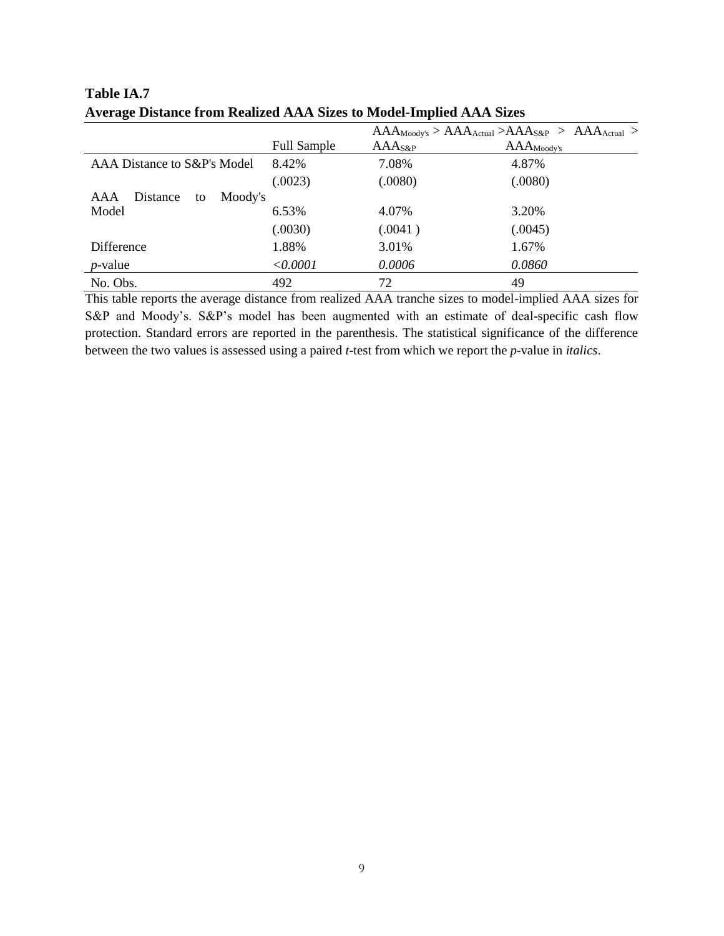|                                  |                    |                  | $AAA_{Moody's} > AAA_{Actual} > AAA_{S&P} > AAA_{Actual} >$ |
|----------------------------------|--------------------|------------------|-------------------------------------------------------------|
|                                  | <b>Full Sample</b> | $\rm AAA_{S\&P}$ | $\rm AAA_{Moody's}$                                         |
| AAA Distance to S&P's Model      | 8.42%              | 7.08%            | 4.87%                                                       |
|                                  | (.0023)            | (.0080)          | (.0080)                                                     |
| Moody's<br>Distance<br>AAA<br>to |                    |                  |                                                             |
| Model                            | 6.53%              | 4.07%            | 3.20%                                                       |
|                                  | (.0030)            | (.0041)          | (.0045)                                                     |
| Difference                       | 1.88%              | 3.01%            | 1.67%                                                       |
| $p$ -value                       | < 0.0001           | 0.0006           | 0.0860                                                      |
| No. Obs.                         | 492                | 72               | 49                                                          |

**Table IA.7 Average Distance from Realized AAA Sizes to Model-Implied AAA Sizes**

This table reports the average distance from realized AAA tranche sizes to model-implied AAA sizes for S&P and Moody's. S&P's model has been augmented with an estimate of deal-specific cash flow protection. Standard errors are reported in the parenthesis. The statistical significance of the difference between the two values is assessed using a paired *t*-test from which we report the *p*-value in *italics*.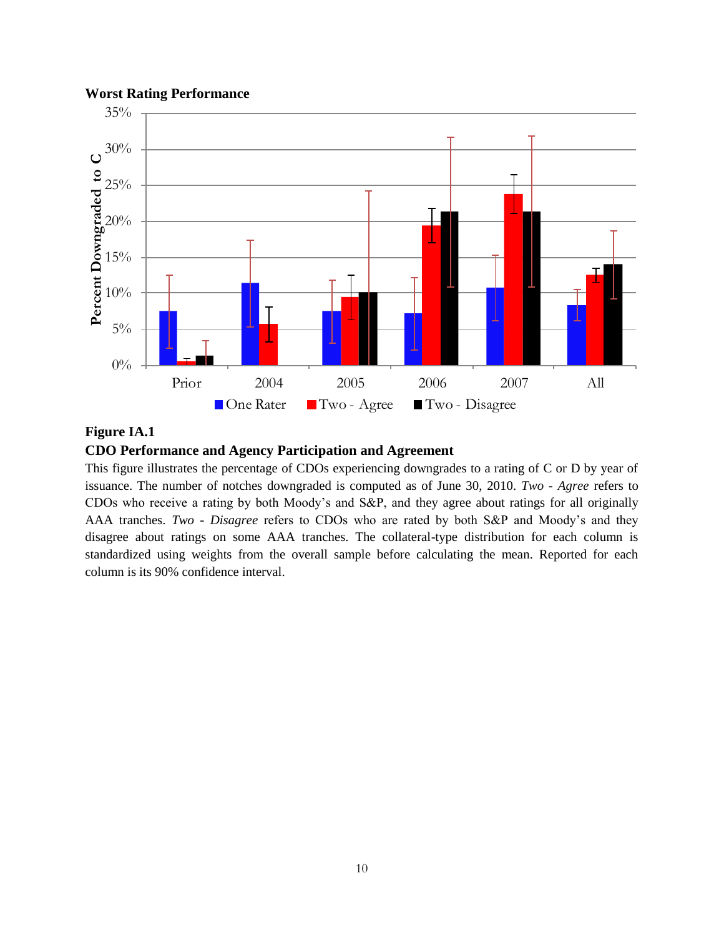## **Worst Rating Performance**



## **Figure IA.1**

## **CDO Performance and Agency Participation and Agreement**

This figure illustrates the percentage of CDOs experiencing downgrades to a rating of C or D by year of issuance. The number of notches downgraded is computed as of June 30, 2010. *Two - Agree* refers to CDOs who receive a rating by both Moody's and S&P, and they agree about ratings for all originally AAA tranches. *Two - Disagree* refers to CDOs who are rated by both S&P and Moody's and they disagree about ratings on some AAA tranches. The collateral-type distribution for each column is standardized using weights from the overall sample before calculating the mean. Reported for each column is its 90% confidence interval.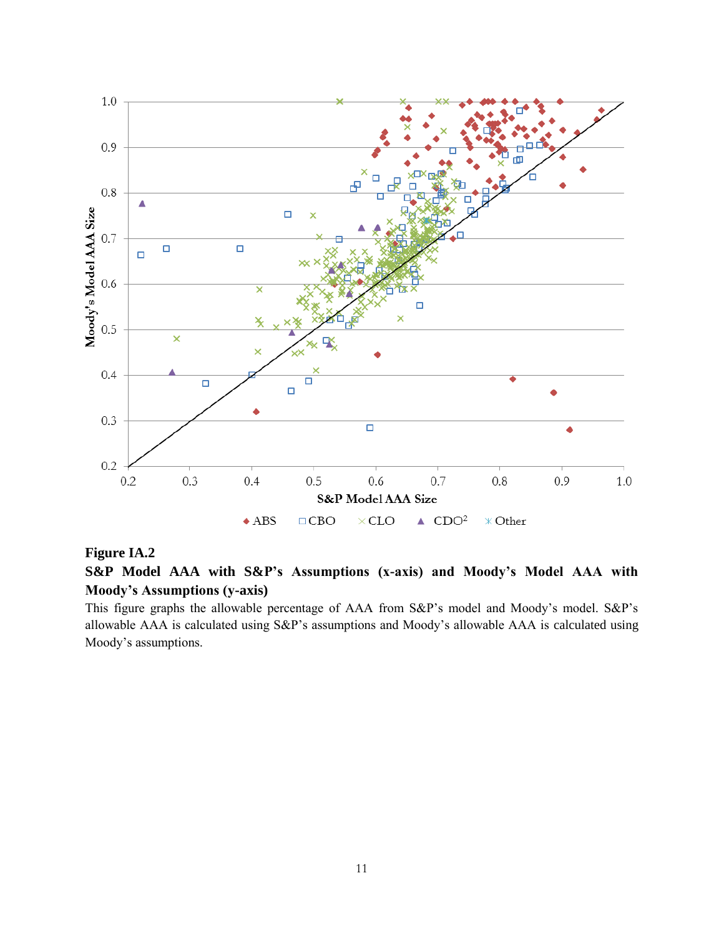

## **Figure IA.2**

**S&P Model AAA with S&P's Assumptions (x-axis) and Moody's Model AAA with Moody's Assumptions (y-axis)** 

This figure graphs the allowable percentage of AAA from S&P's model and Moody's model. S&P's allowable AAA is calculated using S&P's assumptions and Moody's allowable AAA is calculated using Moody's assumptions.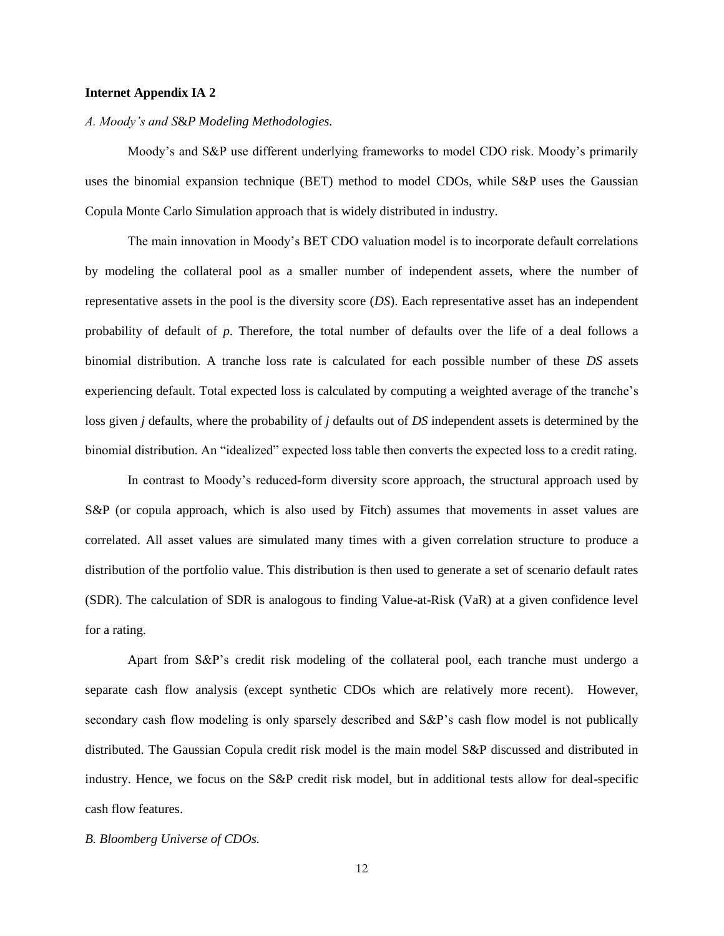### **Internet Appendix IA 2**

#### *A. Moody's and S*&*P Modeling Methodologies.*

Moody's and S&P use different underlying frameworks to model CDO risk. Moody's primarily uses the binomial expansion technique (BET) method to model CDOs, while S&P uses the Gaussian Copula Monte Carlo Simulation approach that is widely distributed in industry.

The main innovation in Moody's BET CDO valuation model is to incorporate default correlations by modeling the collateral pool as a smaller number of independent assets, where the number of representative assets in the pool is the diversity score (*DS*). Each representative asset has an independent probability of default of *p*. Therefore, the total number of defaults over the life of a deal follows a binomial distribution. A tranche loss rate is calculated for each possible number of these *DS* assets experiencing default. Total expected loss is calculated by computing a weighted average of the tranche's loss given *j* defaults, where the probability of *j* defaults out of *DS* independent assets is determined by the binomial distribution. An "idealized" expected loss table then converts the expected loss to a credit rating.

In contrast to Moody's reduced-form diversity score approach, the structural approach used by S&P (or copula approach, which is also used by Fitch) assumes that movements in asset values are correlated. All asset values are simulated many times with a given correlation structure to produce a distribution of the portfolio value. This distribution is then used to generate a set of scenario default rates (SDR). The calculation of SDR is analogous to finding Value-at-Risk (VaR) at a given confidence level for a rating.

Apart from S&P's credit risk modeling of the collateral pool, each tranche must undergo a separate cash flow analysis (except synthetic CDOs which are relatively more recent). However, secondary cash flow modeling is only sparsely described and S&P's cash flow model is not publically distributed. The Gaussian Copula credit risk model is the main model S&P discussed and distributed in industry. Hence, we focus on the S&P credit risk model, but in additional tests allow for deal-specific cash flow features.

#### *B. Bloomberg Universe of CDOs.*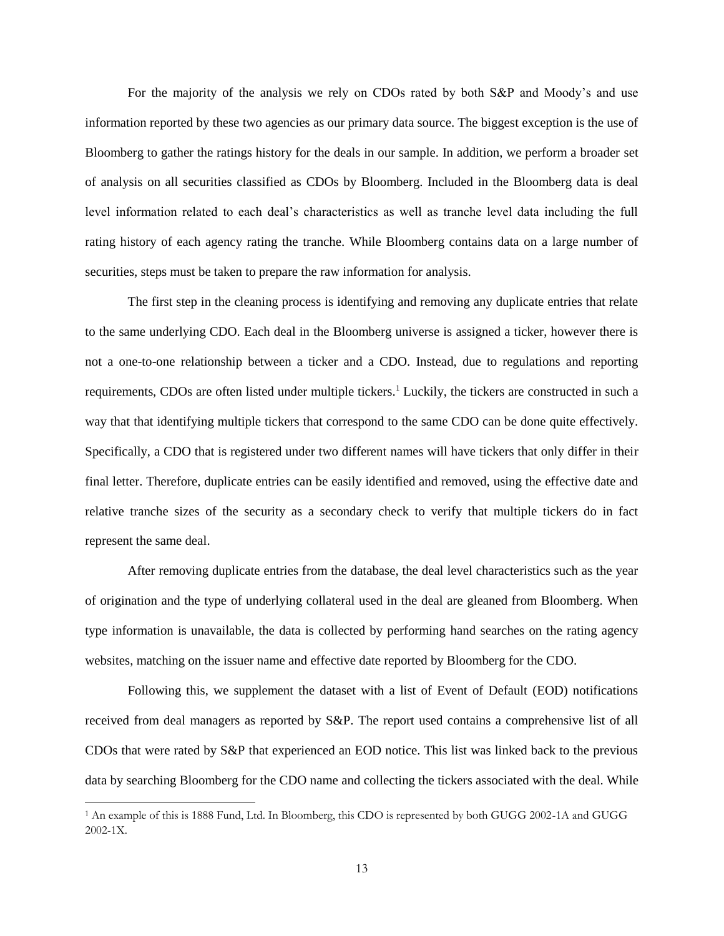For the majority of the analysis we rely on CDOs rated by both S&P and Moody's and use information reported by these two agencies as our primary data source. The biggest exception is the use of Bloomberg to gather the ratings history for the deals in our sample. In addition, we perform a broader set of analysis on all securities classified as CDOs by Bloomberg. Included in the Bloomberg data is deal level information related to each deal's characteristics as well as tranche level data including the full rating history of each agency rating the tranche. While Bloomberg contains data on a large number of securities, steps must be taken to prepare the raw information for analysis.

The first step in the cleaning process is identifying and removing any duplicate entries that relate to the same underlying CDO. Each deal in the Bloomberg universe is assigned a ticker, however there is not a one-to-one relationship between a ticker and a CDO. Instead, due to regulations and reporting requirements, CDOs are often listed under multiple tickers.<sup>1</sup> Luckily, the tickers are constructed in such a way that that identifying multiple tickers that correspond to the same CDO can be done quite effectively. Specifically, a CDO that is registered under two different names will have tickers that only differ in their final letter. Therefore, duplicate entries can be easily identified and removed, using the effective date and relative tranche sizes of the security as a secondary check to verify that multiple tickers do in fact represent the same deal.

After removing duplicate entries from the database, the deal level characteristics such as the year of origination and the type of underlying collateral used in the deal are gleaned from Bloomberg. When type information is unavailable, the data is collected by performing hand searches on the rating agency websites, matching on the issuer name and effective date reported by Bloomberg for the CDO.

Following this, we supplement the dataset with a list of Event of Default (EOD) notifications received from deal managers as reported by S&P. The report used contains a comprehensive list of all CDOs that were rated by S&P that experienced an EOD notice. This list was linked back to the previous data by searching Bloomberg for the CDO name and collecting the tickers associated with the deal. While

 $\overline{\phantom{a}}$ 

<sup>1</sup> An example of this is 1888 Fund, Ltd. In Bloomberg, this CDO is represented by both GUGG 2002-1A and GUGG 2002-1X.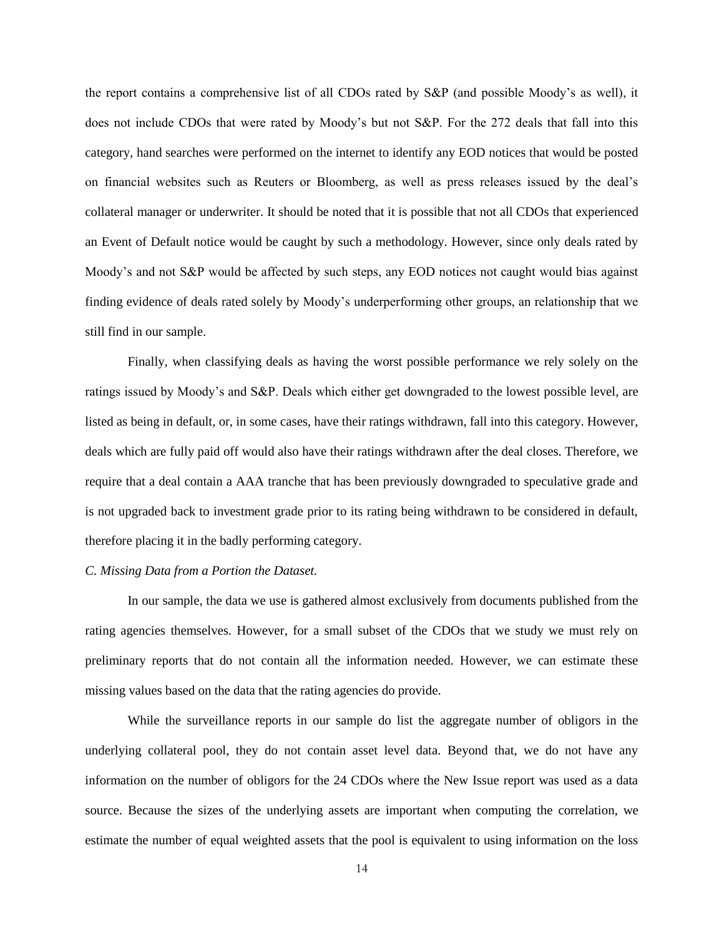the report contains a comprehensive list of all CDOs rated by S&P (and possible Moody's as well), it does not include CDOs that were rated by Moody's but not S&P. For the 272 deals that fall into this category, hand searches were performed on the internet to identify any EOD notices that would be posted on financial websites such as Reuters or Bloomberg, as well as press releases issued by the deal's collateral manager or underwriter. It should be noted that it is possible that not all CDOs that experienced an Event of Default notice would be caught by such a methodology. However, since only deals rated by Moody's and not S&P would be affected by such steps, any EOD notices not caught would bias against finding evidence of deals rated solely by Moody's underperforming other groups, an relationship that we still find in our sample.

Finally, when classifying deals as having the worst possible performance we rely solely on the ratings issued by Moody's and S&P. Deals which either get downgraded to the lowest possible level, are listed as being in default, or, in some cases, have their ratings withdrawn, fall into this category. However, deals which are fully paid off would also have their ratings withdrawn after the deal closes. Therefore, we require that a deal contain a AAA tranche that has been previously downgraded to speculative grade and is not upgraded back to investment grade prior to its rating being withdrawn to be considered in default, therefore placing it in the badly performing category.

### *C. Missing Data from a Portion the Dataset.*

In our sample, the data we use is gathered almost exclusively from documents published from the rating agencies themselves. However, for a small subset of the CDOs that we study we must rely on preliminary reports that do not contain all the information needed. However, we can estimate these missing values based on the data that the rating agencies do provide.

While the surveillance reports in our sample do list the aggregate number of obligors in the underlying collateral pool, they do not contain asset level data. Beyond that, we do not have any information on the number of obligors for the 24 CDOs where the New Issue report was used as a data source. Because the sizes of the underlying assets are important when computing the correlation, we estimate the number of equal weighted assets that the pool is equivalent to using information on the loss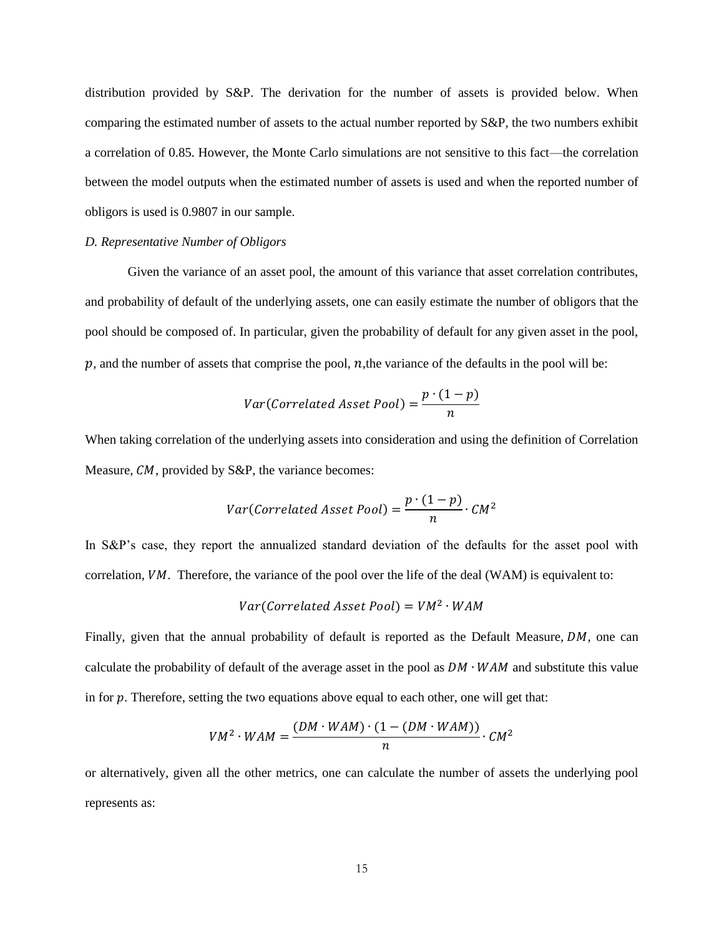distribution provided by S&P. The derivation for the number of assets is provided below. When comparing the estimated number of assets to the actual number reported by S&P, the two numbers exhibit a correlation of 0.85. However, the Monte Carlo simulations are not sensitive to this fact—the correlation between the model outputs when the estimated number of assets is used and when the reported number of obligors is used is 0.9807 in our sample.

#### *D. Representative Number of Obligors*

Given the variance of an asset pool, the amount of this variance that asset correlation contributes, and probability of default of the underlying assets, one can easily estimate the number of obligors that the pool should be composed of. In particular, given the probability of default for any given asset in the pool,  $p$ , and the number of assets that comprise the pool,  $n$ , the variance of the defaults in the pool will be:

$$
Var(Correlated\text{ }A\text{ }Sset\text{ }Pool) = \frac{p \cdot (1-p)}{n}
$$

When taking correlation of the underlying assets into consideration and using the definition of Correlation Measure,  $CM$ , provided by S&P, the variance becomes:

$$
Var(Correlated Asset Pool) = \frac{p \cdot (1-p)}{n} \cdot CM^2
$$

In S&P's case, they report the annualized standard deviation of the defaults for the asset pool with correlation,  $VM$ . Therefore, the variance of the pool over the life of the deal (WAM) is equivalent to:

$$
Var(Correlated\, Asset\,Pool) = VM^2 \cdot WAM
$$

Finally, given that the annual probability of default is reported as the Default Measure,  $DM$ , one can calculate the probability of default of the average asset in the pool as  $DM \cdot WAM$  and substitute this value in for  $p$ . Therefore, setting the two equations above equal to each other, one will get that:

$$
VM^{2} \cdot WAM = \frac{(DM \cdot WAM) \cdot (1 - (DM \cdot WAM))}{n} \cdot CM^{2}
$$

or alternatively, given all the other metrics, one can calculate the number of assets the underlying pool represents as: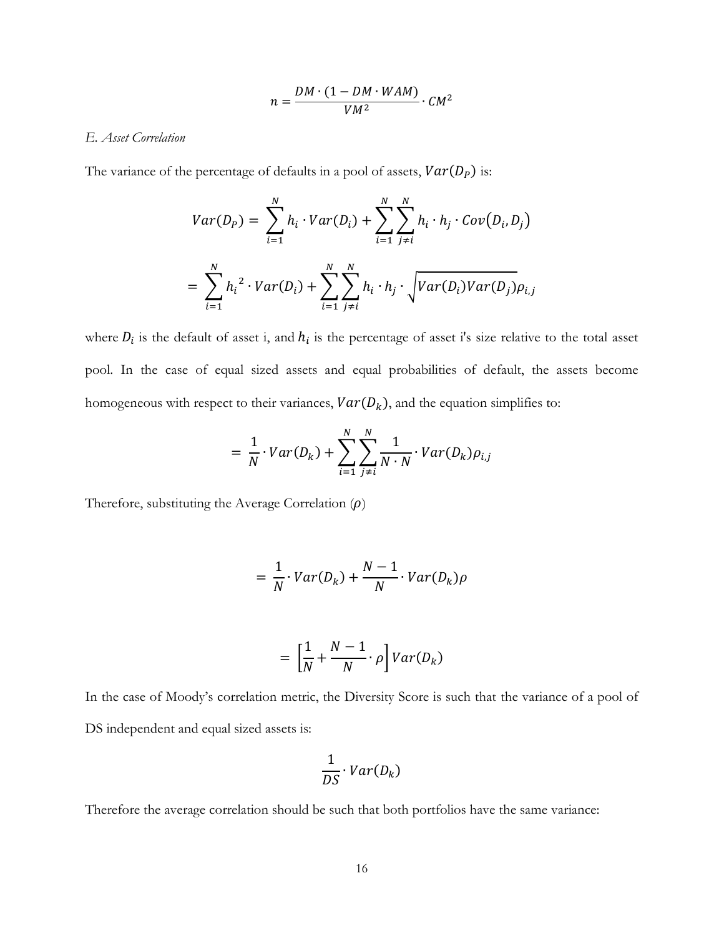$$
n = \frac{DM \cdot (1 - DM \cdot WAM)}{VM^2} \cdot CM^2
$$

## *E. Asset Correlation*

The variance of the percentage of defaults in a pool of assets,  $Var(D_P)$  is:

$$
Var(D_P) = \sum_{i=1}^{N} h_i \cdot Var(D_i) + \sum_{i=1}^{N} \sum_{j \neq i}^{N} h_i \cdot h_j \cdot Cov(D_i, D_j)
$$
  
= 
$$
\sum_{i=1}^{N} h_i^2 \cdot Var(D_i) + \sum_{i=1}^{N} \sum_{j \neq i}^{N} h_i \cdot h_j \cdot \sqrt{Var(D_i)Var(D_j)} \rho_{i,j}
$$

where  $D_i$  is the default of asset i, and  $h_i$  is the percentage of asset i's size relative to the total asset pool. In the case of equal sized assets and equal probabilities of default, the assets become homogeneous with respect to their variances,  $Var(D_k)$ , and the equation simplifies to:

$$
= \frac{1}{N} \cdot Var(D_k) + \sum_{i=1}^{N} \sum_{j \neq i}^{N} \frac{1}{N \cdot N} \cdot Var(D_k) \rho_{i,j}
$$

Therefore, substituting the Average Correlation  $(\rho)$ 

$$
= \frac{1}{N} \cdot Var(D_k) + \frac{N-1}{N} \cdot Var(D_k) \rho
$$

$$
= \left[\frac{1}{N} + \frac{N-1}{N} \cdot \rho\right] Var(D_k)
$$

In the case of Moody's correlation metric, the Diversity Score is such that the variance of a pool of DS independent and equal sized assets is:

$$
\frac{1}{DS} \cdot Var(D_k)
$$

Therefore the average correlation should be such that both portfolios have the same variance: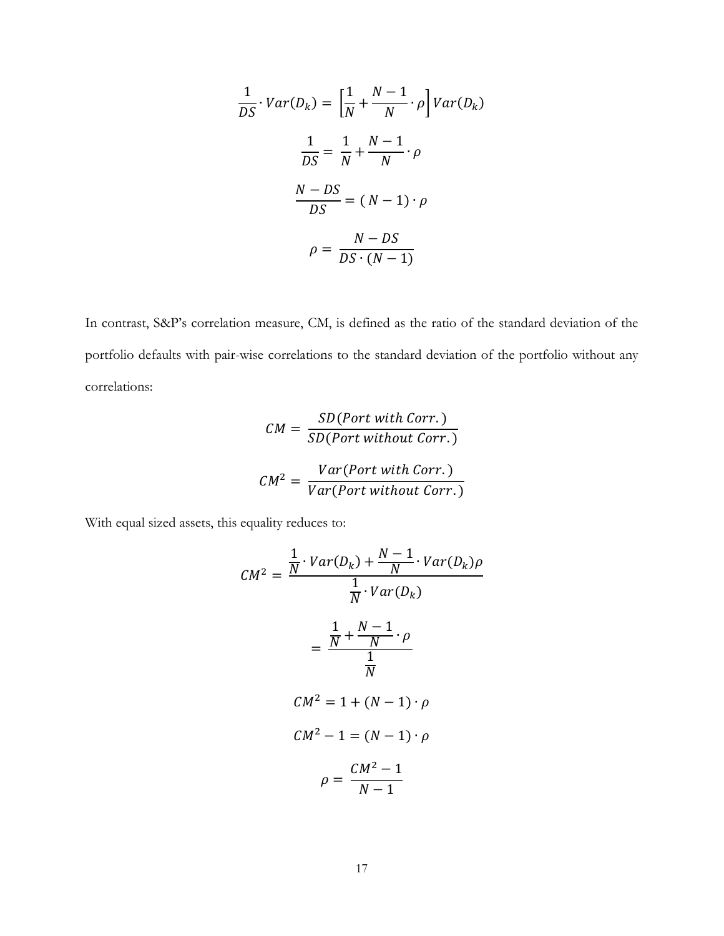$$
\frac{1}{DS} \cdot Var(D_k) = \left[\frac{1}{N} + \frac{N-1}{N} \cdot \rho\right] Var(D_k)
$$

$$
\frac{1}{DS} = \frac{1}{N} + \frac{N-1}{N} \cdot \rho
$$

$$
\frac{N - DS}{DS} = (N - 1) \cdot \rho
$$

$$
\rho = \frac{N - DS}{DS \cdot (N - 1)}
$$

In contrast, S&P's correlation measure, CM, is defined as the ratio of the standard deviation of the portfolio defaults with pair-wise correlations to the standard deviation of the portfolio without any correlations:

$$
CM = \frac{SD(Port with Corr.)}{SD(Port without Corr.)}
$$

$$
CM^{2} = \frac{Var(Port with Corr.)}{Var(Port without Corr.)}
$$

With equal sized assets, this equality reduces to:

$$
CM^2 = \frac{\frac{1}{N} \cdot Var(D_k) + \frac{N-1}{N} \cdot Var(D_k)\rho}{\frac{1}{N} \cdot Var(D_k)}
$$

$$
= \frac{\frac{1}{N} + \frac{N-1}{N} \cdot \rho}{\frac{1}{N}}
$$

$$
CM^2 = 1 + (N-1) \cdot \rho
$$

$$
CM^2 - 1 = (N-1) \cdot \rho
$$

$$
\rho = \frac{CM^2 - 1}{N - 1}
$$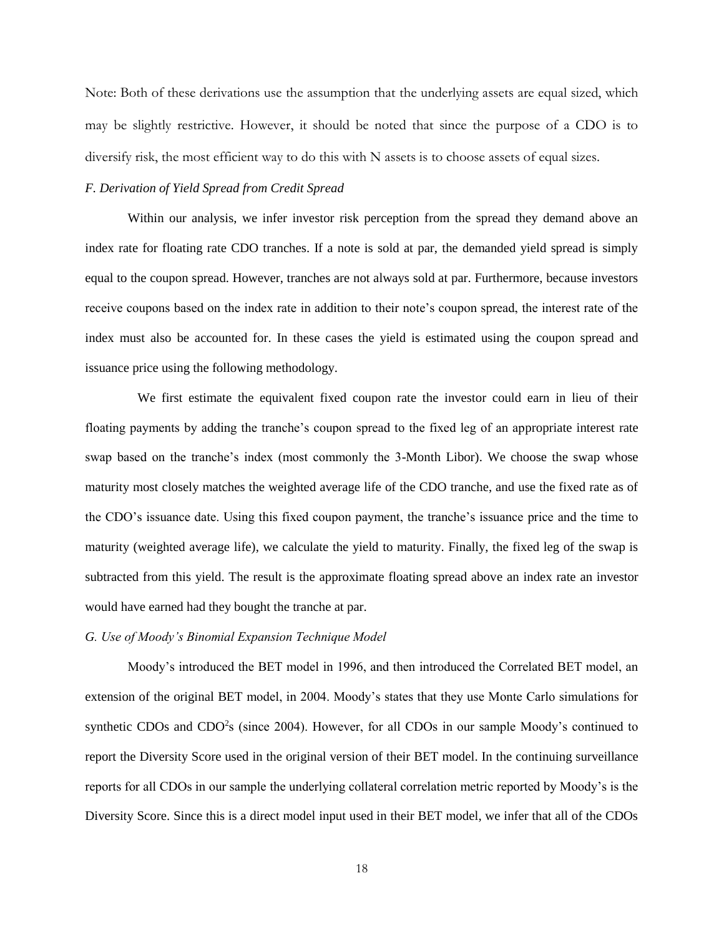Note: Both of these derivations use the assumption that the underlying assets are equal sized, which may be slightly restrictive. However, it should be noted that since the purpose of a CDO is to diversify risk, the most efficient way to do this with N assets is to choose assets of equal sizes.

## *F. Derivation of Yield Spread from Credit Spread*

Within our analysis, we infer investor risk perception from the spread they demand above an index rate for floating rate CDO tranches. If a note is sold at par, the demanded yield spread is simply equal to the coupon spread. However, tranches are not always sold at par. Furthermore, because investors receive coupons based on the index rate in addition to their note's coupon spread, the interest rate of the index must also be accounted for. In these cases the yield is estimated using the coupon spread and issuance price using the following methodology.

 We first estimate the equivalent fixed coupon rate the investor could earn in lieu of their floating payments by adding the tranche's coupon spread to the fixed leg of an appropriate interest rate swap based on the tranche's index (most commonly the 3-Month Libor). We choose the swap whose maturity most closely matches the weighted average life of the CDO tranche, and use the fixed rate as of the CDO's issuance date. Using this fixed coupon payment, the tranche's issuance price and the time to maturity (weighted average life), we calculate the yield to maturity. Finally, the fixed leg of the swap is subtracted from this yield. The result is the approximate floating spread above an index rate an investor would have earned had they bought the tranche at par.

## *G. Use of Moody's Binomial Expansion Technique Model*

Moody's introduced the BET model in 1996, and then introduced the Correlated BET model, an extension of the original BET model, in 2004. Moody's states that they use Monte Carlo simulations for synthetic CDOs and CDO<sup>2</sup>s (since 2004). However, for all CDOs in our sample Moody's continued to report the Diversity Score used in the original version of their BET model. In the continuing surveillance reports for all CDOs in our sample the underlying collateral correlation metric reported by Moody's is the Diversity Score. Since this is a direct model input used in their BET model, we infer that all of the CDOs